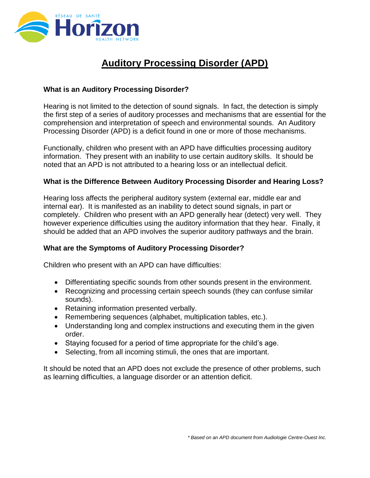

# **Auditory Processing Disorder (APD)**

## **What is an Auditory Processing Disorder?**

Hearing is not limited to the detection of sound signals. In fact, the detection is simply the first step of a series of auditory processes and mechanisms that are essential for the comprehension and interpretation of speech and environmental sounds. An Auditory Processing Disorder (APD) is a deficit found in one or more of those mechanisms.

Functionally, children who present with an APD have difficulties processing auditory information. They present with an inability to use certain auditory skills. It should be noted that an APD is not attributed to a hearing loss or an intellectual deficit.

#### **What is the Difference Between Auditory Processing Disorder and Hearing Loss?**

Hearing loss affects the peripheral auditory system (external ear, middle ear and internal ear). It is manifested as an inability to detect sound signals, in part or completely. Children who present with an APD generally hear (detect) very well. They however experience difficulties using the auditory information that they hear. Finally, it should be added that an APD involves the superior auditory pathways and the brain.

#### **What are the Symptoms of Auditory Processing Disorder?**

Children who present with an APD can have difficulties:

- Differentiating specific sounds from other sounds present in the environment.
- Recognizing and processing certain speech sounds (they can confuse similar sounds).
- Retaining information presented verbally.
- Remembering sequences (alphabet, multiplication tables, etc.).
- Understanding long and complex instructions and executing them in the given order.
- Staying focused for a period of time appropriate for the child's age.
- Selecting, from all incoming stimuli, the ones that are important.

It should be noted that an APD does not exclude the presence of other problems, such as learning difficulties, a language disorder or an attention deficit.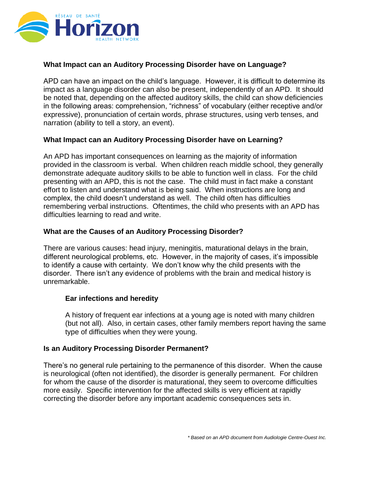

## **What Impact can an Auditory Processing Disorder have on Language?**

APD can have an impact on the child's language. However, it is difficult to determine its impact as a language disorder can also be present, independently of an APD. It should be noted that, depending on the affected auditory skills, the child can show deficiencies in the following areas: comprehension, "richness" of vocabulary (either receptive and/or expressive), pronunciation of certain words, phrase structures, using verb tenses, and narration (ability to tell a story, an event).

#### **What Impact can an Auditory Processing Disorder have on Learning?**

An APD has important consequences on learning as the majority of information provided in the classroom is verbal. When children reach middle school, they generally demonstrate adequate auditory skills to be able to function well in class. For the child presenting with an APD, this is not the case. The child must in fact make a constant effort to listen and understand what is being said. When instructions are long and complex, the child doesn't understand as well. The child often has difficulties remembering verbal instructions. Oftentimes, the child who presents with an APD has difficulties learning to read and write.

#### **What are the Causes of an Auditory Processing Disorder?**

There are various causes: head injury, meningitis, maturational delays in the brain, different neurological problems, etc. However, in the majority of cases, it's impossible to identify a cause with certainty. We don't know why the child presents with the disorder. There isn't any evidence of problems with the brain and medical history is unremarkable.

#### **Ear infections and heredity**

A history of frequent ear infections at a young age is noted with many children (but not all). Also, in certain cases, other family members report having the same type of difficulties when they were young.

#### **Is an Auditory Processing Disorder Permanent?**

There's no general rule pertaining to the permanence of this disorder. When the cause is neurological (often not identified), the disorder is generally permanent. For children for whom the cause of the disorder is maturational, they seem to overcome difficulties more easily. Specific intervention for the affected skills is very efficient at rapidly correcting the disorder before any important academic consequences sets in.